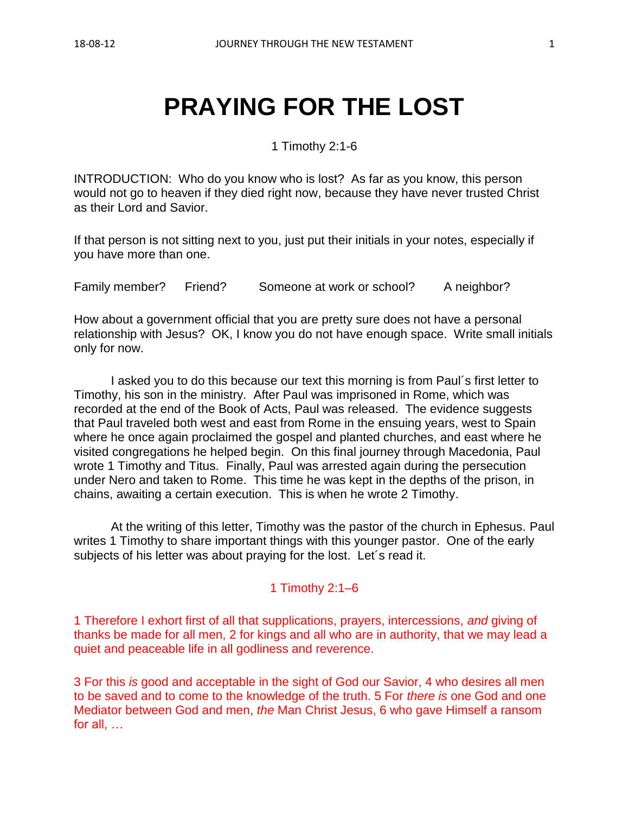# **PRAYING FOR THE LOST**

1 Timothy 2:1-6

INTRODUCTION: Who do you know who is lost? As far as you know, this person would not go to heaven if they died right now, because they have never trusted Christ as their Lord and Savior.

If that person is not sitting next to you, just put their initials in your notes, especially if you have more than one.

Family member? Friend? Someone at work or school? A neighbor?

How about a government official that you are pretty sure does not have a personal relationship with Jesus? OK, I know you do not have enough space. Write small initials only for now.

I asked you to do this because our text this morning is from Paul´s first letter to Timothy, his son in the ministry. After Paul was imprisoned in Rome, which was recorded at the end of the Book of Acts, Paul was released. The evidence suggests that Paul traveled both west and east from Rome in the ensuing years, west to Spain where he once again proclaimed the gospel and planted churches, and east where he visited congregations he helped begin. On this final journey through Macedonia, Paul wrote 1 Timothy and Titus. Finally, Paul was arrested again during the persecution under Nero and taken to Rome. This time he was kept in the depths of the prison, in chains, awaiting a certain execution. This is when he wrote 2 Timothy.

At the writing of this letter, Timothy was the pastor of the church in Ephesus. Paul writes 1 Timothy to share important things with this younger pastor. One of the early subjects of his letter was about praying for the lost. Let´s read it.

#### 1 Timothy 2:1–6

1 Therefore I exhort first of all that supplications, prayers, intercessions, *and* giving of thanks be made for all men, 2 for kings and all who are in authority, that we may lead a quiet and peaceable life in all godliness and reverence.

3 For this *is* good and acceptable in the sight of God our Savior, 4 who desires all men to be saved and to come to the knowledge of the truth. 5 For *there is* one God and one Mediator between God and men, *the* Man Christ Jesus, 6 who gave Himself a ransom for all, …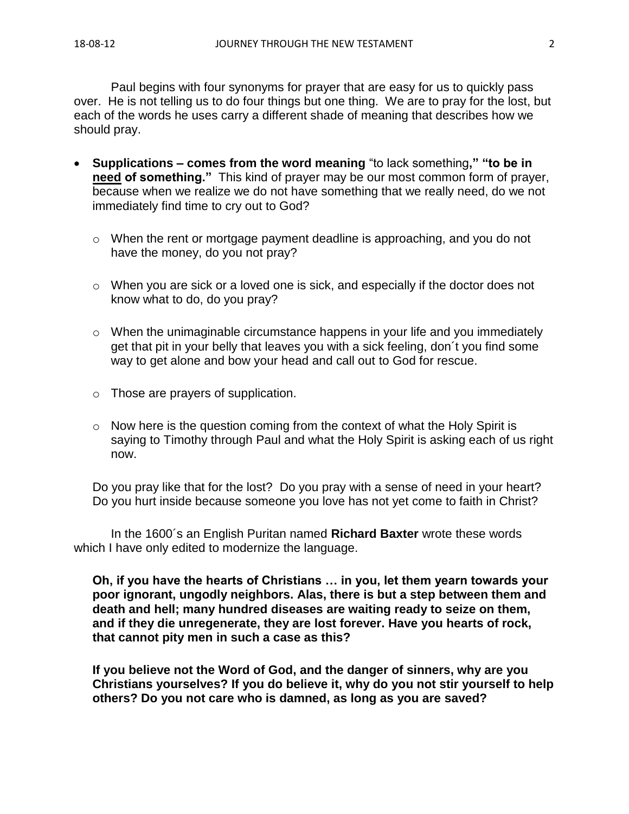Paul begins with four synonyms for prayer that are easy for us to quickly pass over. He is not telling us to do four things but one thing. We are to pray for the lost, but each of the words he uses carry a different shade of meaning that describes how we should pray.

- **Supplications – comes from the word meaning** "to lack something**," "to be in need of something."** This kind of prayer may be our most common form of prayer, because when we realize we do not have something that we really need, do we not immediately find time to cry out to God?
	- o When the rent or mortgage payment deadline is approaching, and you do not have the money, do you not pray?
	- o When you are sick or a loved one is sick, and especially if the doctor does not know what to do, do you pray?
	- o When the unimaginable circumstance happens in your life and you immediately get that pit in your belly that leaves you with a sick feeling, don´t you find some way to get alone and bow your head and call out to God for rescue.
	- o Those are prayers of supplication.
	- o Now here is the question coming from the context of what the Holy Spirit is saying to Timothy through Paul and what the Holy Spirit is asking each of us right now.

Do you pray like that for the lost? Do you pray with a sense of need in your heart? Do you hurt inside because someone you love has not yet come to faith in Christ?

In the 1600´s an English Puritan named **Richard Baxter** wrote these words which I have only edited to modernize the language.

**Oh, if you have the hearts of Christians … in you, let them yearn towards your poor ignorant, ungodly neighbors. Alas, there is but a step between them and death and hell; many hundred diseases are waiting ready to seize on them, and if they die unregenerate, they are lost forever. Have you hearts of rock, that cannot pity men in such a case as this?** 

**If you believe not the Word of God, and the danger of sinners, why are you Christians yourselves? If you do believe it, why do you not stir yourself to help others? Do you not care who is damned, as long as you are saved?**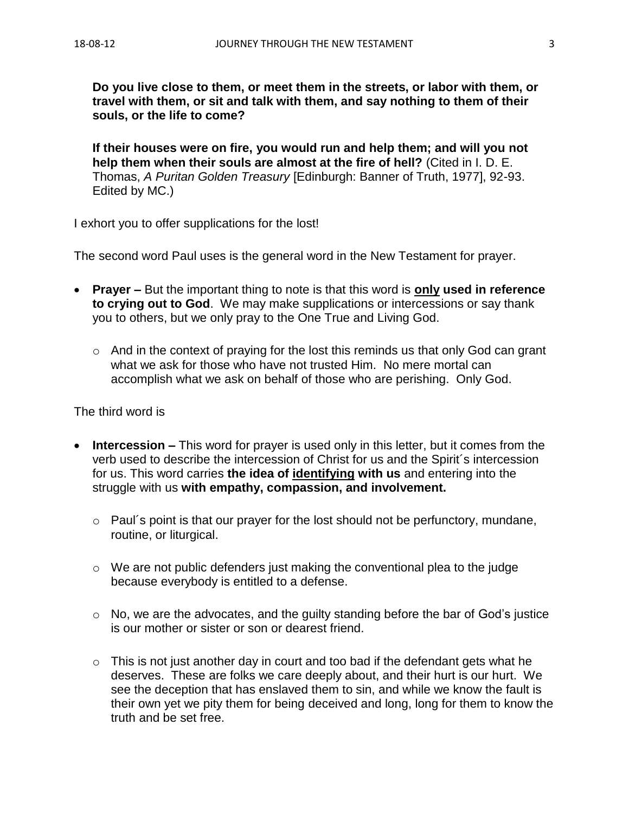**Do you live close to them, or meet them in the streets, or labor with them, or travel with them, or sit and talk with them, and say nothing to them of their souls, or the life to come?** 

**If their houses were on fire, you would run and help them; and will you not help them when their souls are almost at the fire of hell?** (Cited in I. D. E. Thomas, *A Puritan Golden Treasury* [Edinburgh: Banner of Truth, 1977], 92-93. Edited by MC.)

I exhort you to offer supplications for the lost!

The second word Paul uses is the general word in the New Testament for prayer.

- **Prayer –** But the important thing to note is that this word is **only used in reference to crying out to God**. We may make supplications or intercessions or say thank you to others, but we only pray to the One True and Living God.
	- o And in the context of praying for the lost this reminds us that only God can grant what we ask for those who have not trusted Him. No mere mortal can accomplish what we ask on behalf of those who are perishing. Only God.

The third word is

- **Intercession –** This word for prayer is used only in this letter, but it comes from the verb used to describe the intercession of Christ for us and the Spirit´s intercession for us. This word carries **the idea of identifying with us** and entering into the struggle with us **with empathy, compassion, and involvement.**
	- o Paul´s point is that our prayer for the lost should not be perfunctory, mundane, routine, or liturgical.
	- $\circ$  We are not public defenders just making the conventional plea to the judge because everybody is entitled to a defense.
	- o No, we are the advocates, and the guilty standing before the bar of God's justice is our mother or sister or son or dearest friend.
	- $\circ$  This is not just another day in court and too bad if the defendant gets what he deserves. These are folks we care deeply about, and their hurt is our hurt. We see the deception that has enslaved them to sin, and while we know the fault is their own yet we pity them for being deceived and long, long for them to know the truth and be set free.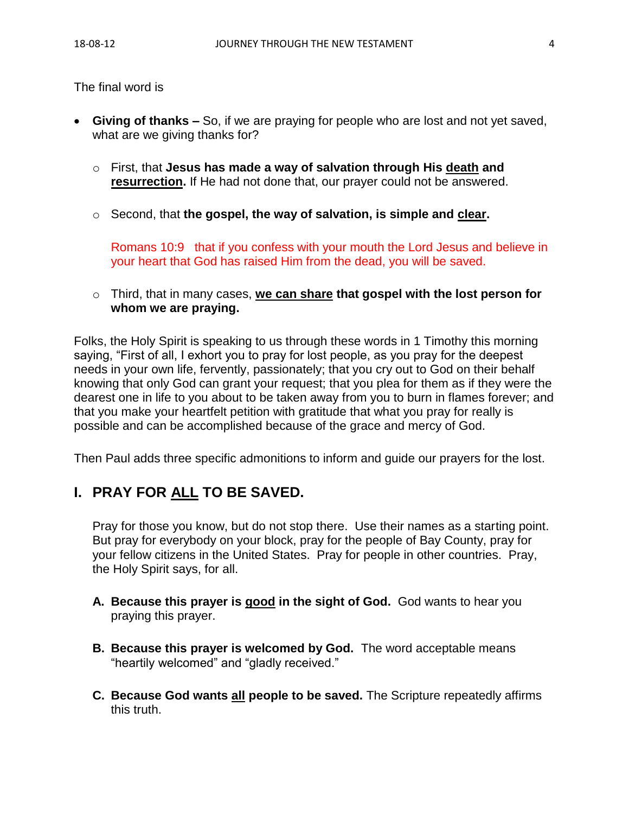The final word is

- **Giving of thanks –** So, if we are praying for people who are lost and not yet saved, what are we giving thanks for?
	- o First, that **Jesus has made a way of salvation through His death and resurrection.** If He had not done that, our prayer could not be answered.
	- o Second, that **the gospel, the way of salvation, is simple and clear.**

Romans 10:9 that if you confess with your mouth the Lord Jesus and believe in your heart that God has raised Him from the dead, you will be saved.

o Third, that in many cases, **we can share that gospel with the lost person for whom we are praying.**

Folks, the Holy Spirit is speaking to us through these words in 1 Timothy this morning saying, "First of all, I exhort you to pray for lost people, as you pray for the deepest needs in your own life, fervently, passionately; that you cry out to God on their behalf knowing that only God can grant your request; that you plea for them as if they were the dearest one in life to you about to be taken away from you to burn in flames forever; and that you make your heartfelt petition with gratitude that what you pray for really is possible and can be accomplished because of the grace and mercy of God.

Then Paul adds three specific admonitions to inform and guide our prayers for the lost.

## **I. PRAY FOR ALL TO BE SAVED.**

Pray for those you know, but do not stop there. Use their names as a starting point. But pray for everybody on your block, pray for the people of Bay County, pray for your fellow citizens in the United States. Pray for people in other countries. Pray, the Holy Spirit says, for all.

- **A. Because this prayer is good in the sight of God.** God wants to hear you praying this prayer.
- **B. Because this prayer is welcomed by God.** The word acceptable means "heartily welcomed" and "gladly received."
- **C. Because God wants all people to be saved.** The Scripture repeatedly affirms this truth.